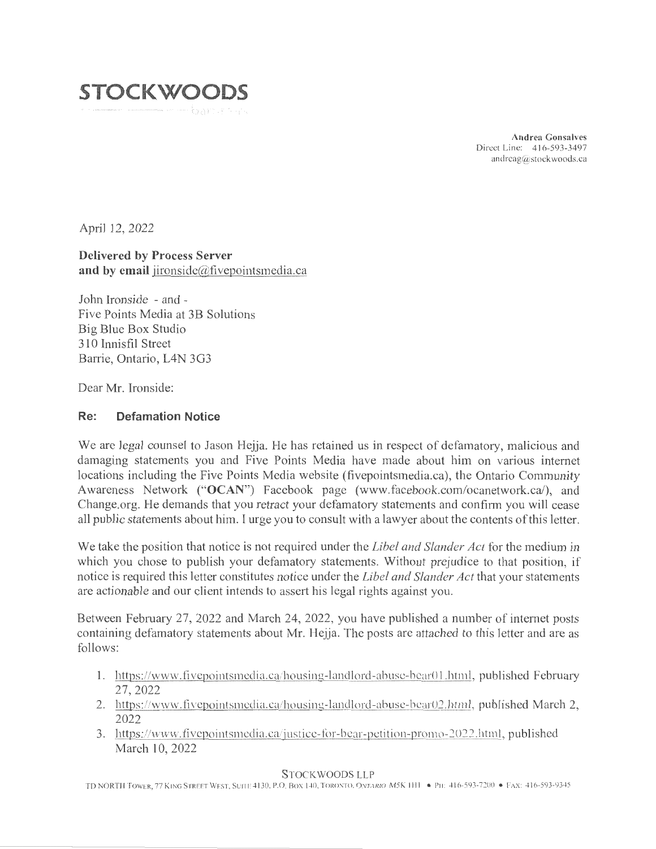

**Andrea Gonsalves**  Direct Line: 416-593-3497 andreag@stockwoods.ca

April 12, 2022

#### **Delivered by Process Server and by email** jironside@fivepointsmedia.ca

John Ironside - and - Five Points Media at 3B Solutions Big Blue Box Studio 310 Innisfil Street Barrie, Ontario, L4N 3G3

Dear Mr. Ironside:

#### **Re: Defamation Notice**

We are legal counsel to Jason Hejja. He has retained us in respect of defamatory, malicious and damaging statements you and Five Points Media have made about him on various internet locations including the Five Points Media website (fivepointsmedia.ca), the Ontario Community Awareness Network **("OCAN")** Facebook page (www.facebook.com/ocanetwork.ca/), and Change.org. He demands that you retract your defamatory statements and confirm you will cease all public statements about him. I urge you to consult with a lawyer about the contents of this letter.

We take the position that notice is not required under the *Libel and Slander Act* for the medium in which you chose to publish your defamatory statements. Without prejudice to that position, if notice is required this letter constitutes notice under the *Libel and Slander Act* that your statements are actionable and our client intends to assert his legal rights against you.

Between February 27, 2022 and March 24, 2022, you have published a number of internet posts containing defamatory statements about Mr. Hejja. The posts are attached to this letter and are as follows:

- 1. https://www.fivepointsmedia.ca/housing-landlord-abuse-bear01.html, published February 27, 2022
- 2. https://www.fivepointsmedia.ca/housing-landlord-abuse-bear02.html, published March 2, 2022
- 3. https://www.fivepointsmedia.ca/justice-for-bear-petition-promo-2022.html, published March 10, 2022

#### STOCKWOODS LLP

TD NORTH TOWER, 77 KING STREET WEST, SUITE 4130, P.O. BOX 140, TORONTO, ONTARIO M5K 1111 • PH: 416-593-7200 • FAX: 416-593-9345

----- -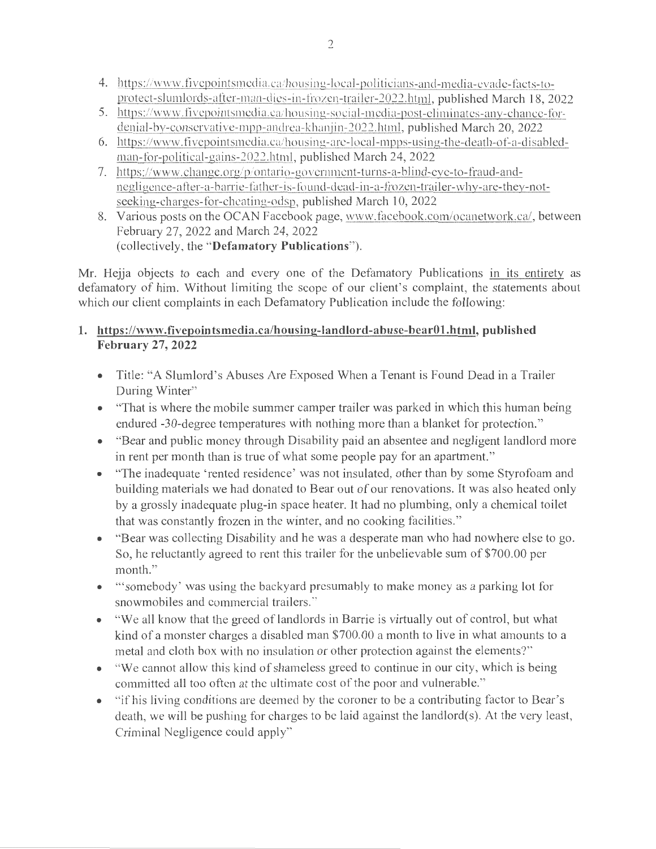- 4. https://www.fivepointsmedia.ca/housing-local-politicians-and-media-evade-facts-toprotect-slumlords-after-man-dies-in-frozen-trailer-2022.html, published March 18, 2022
- 5. https://www.fivepointsmedia.ca/housing-social-media-post-eliminates-any-chance-fordenial-by-conservative-mpp-andrea-khanjin-2022.html, published March 20, 2022
- 6. https://www.fivepointsmedia.ca/housing-are-local-mpps-using-the-death-of-a-disabledman-for-political-gains-2022.html, published March 24, 2022
- 7. https://www.change.org/p/ontario-govcrnment-turns-a-blind-eye-to-fraud-andnegligence-after-a-barrie-father-is-found-dead-in-a-frozen-trailer-why-are-they-notseeking-charges-for-cheating-odsp, published March 10, 2022
- 8. Various posts on the OCAN Facebook page, www.facebook. com/ocanetwork.ca/, between February 27, 2022 and March 24, 2022 (collectively, the **"Defamatory Publications").**

Mr. Hejja objects to each and every one of the Defamatory Publications in its entirety as defamatory of him. Without limiting the scope of our client's complaint, the statements about which our client complaints in each Defamatory Publication include the following:

## **1. https://www.fivepointsmedia.ca/housing-1andlord-abuse-bear01.html, published February 27, 2022**

- Title: "A Slumlord's Abuses Are Exposed When a Tenant is Found Dead in a Trailer During Winter"
- "That is where the mobile summer camper trailer was parked in which this human being endured -30-degree temperatures with nothing more than a blanket for protection."
- "Bear and public money through Disability paid an absentee and negligent landlord more in rent per month than is true of what some people pay for an apartment. "
- "The inadequate 'rented residence' was not insulated, other than by some Styrofoam and building materials we had donated to Bear out of our renovations. It was also heated only by a grossly inadequate plug-in space heater. It had no plumbing, only a chemical toilet that was constantly frozen in the winter, and no cooking facilities."
- "Bear was collecting Disability and he was a desperate man who had nowhere else to go. So, he reluctantly agreed to rent this trailer for the unbelievable sum of \$700.00 per month."
- "somebody' was using the backyard presumably to make money as a parking lot for snowmobiles and commercial trailers."
- "We all know that the greed of landlords in Barrie is virtually out of control, but what kind of a monster charges a disabled man \$700.00 a month to live in what amounts to a metal and cloth box with no insulation or other protection against the elements?"
- "We cannot allow this kind of shameless greed to continue in our city, which is being committed all too often at the ultimate cost of the poor and vulnerable."
- "If his living conditions are deemed by the coroner to be a contributing factor to Bear's death, we will be pushing for charges to be laid against the landlord(s). At the very least, Criminal Negligence could apply"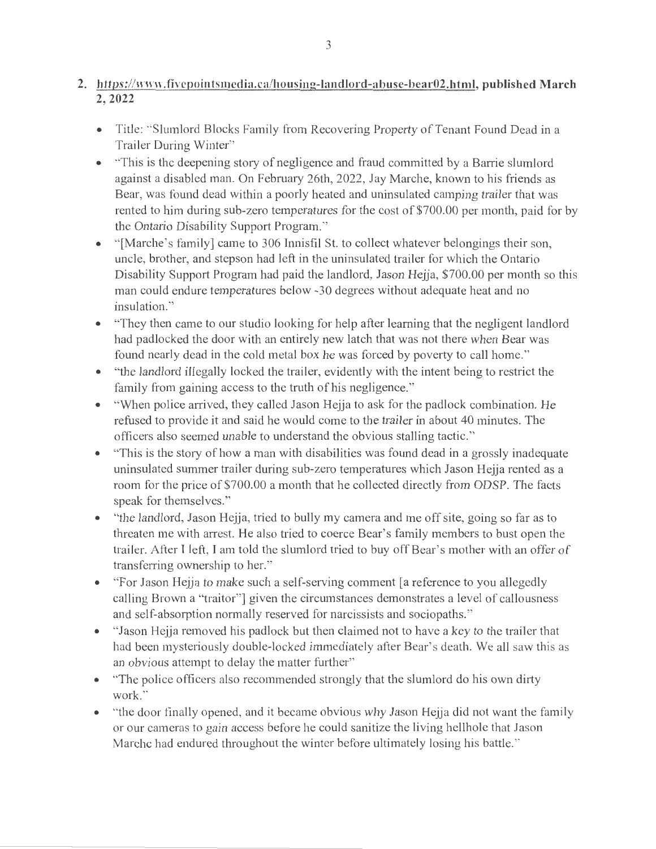## 2. https://www.fivepointsmedia.ca/housing-landlord-abuse-bear02.html, published March **2,2022**

- Title: "Slumlord Blocks Family from Recovering Property of Tenant Found Dead in a Trailer During Winter"
- "This is the deepening story of negligence and fraud committed by a Barrie slumlord against a disabled man. On February 26th, 2022, Jay Marche, known to his friends as Bear, was found dead within a poorly heated and uninsulated camping trailer that was rented to him during sub-zero temperatures for the cost of \$700.00 per month, paid for by the Ontario Disability Support Program."
- "[Marche's family] came to 306 Innisfil St. to collect whatever belongings their son, uncle, brother, and stepson had left in the uninsulated trailer for which the Ontario Disability Support Program had paid the landlord, Jason Hejja, \$700.00 per month so this man could endure temperatures below -30 degrees without adequate heat and no insulation."
- "They then came to our studio looking for help after learning that the negligent landlord had padlocked the door with an entirely new latch that was not there when Bear was found nearly dead in the cold metal box he was forced by poverty to call home."
- "the landlord illegally locked the trailer, evidently with the intent being to restrict the family from gaining access to the truth of his negligence."
- "When police arrived, they called Jason Hejja to ask for the padlock combination. He refused to provide it and said he would come to the trailer in about 40 minutes. The officers also seemed unable to understand the obvious stalling tactic."
- "This is the story of how a man with disabilities was found dead in a grossly inadequate uninsulated summer trailer during sub-zero temperatures which Jason Hejja rented as a room for the price of \$700.00 a month that he collected directly from ODSP. The facts speak for themselves."
- "the landlord, Jason Hejja, tried to bully my camera and me off site, going so far as to threaten me with arrest. He also tried to coerce Bear's family members to bust open the trailer. After I left, I am told the slumlord tried to buy off Bear's mother with an offer of transferring ownership to her."
- "For Jason Hejja to make such a self-serving comment [a reference to you allegedly calling Brown a "traitor"] given the circumstances demonstrates a level of callousness and self-absorption nonnally reserved for narcissists and sociopaths. "
- "Jason Hejja removed his padlock but then claimed not to have a key to the trailer that had been mysteriously double-locked immediately after Bear's death. We all saw this as an obvious attempt to delay the matter further"
- "The police officers also recommended strongly that the slumlord do his own dirty work."
- "the door finally opened, and it became obvious why Jason Hejja did not want the family or our cameras to gain access before he could sanitize the living hellhole that Jason Marche had endured throughout the winter before ultimately losing his battle."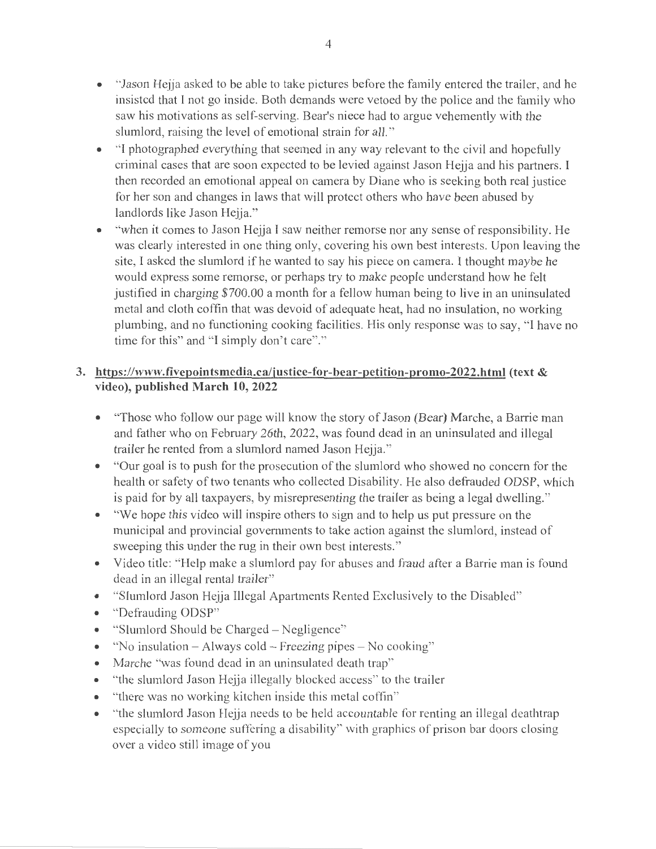- "Jason Hejja asked to be able to take pictures before the family entered the trailer, and he insisted that I not go inside. Both demands were vetoed by the police and the family who saw his motivations as self-serving. Bear's niece had to argue vehemently with the slumlord, raising the level of emotional strain for all."
- "I photographed everything that seemed in any way relevant to the civil and hopefully criminal cases that are soon expected to be levied against Jason Hejja and his partners. I then recorded an emotional appeal on camera by Diane who is seeking both real justice for her son and changes in laws that will protect others who have been abused by landlords like Jason Hejja."
- "when it comes to Jason Hejja I saw neither remorse nor any sense ofresponsibility. He was clearly interested in one thing only, covering his own best interests. Upon leaving the site, I asked the slumlord if he wanted to say his piece on camera. I thought maybe he would express some remorse, or perhaps try to make people understand how he felt justified in charging \$700.00 a month for a fellow human being to live in an uninsulated metal and cloth coffin that was devoid of adequate heat, had no insulation, no working plumbing, and no functioning cooking facilities. His only response was to say, "I have no time for this" and "I simply don't care"."

## **3. https://www.fivepointsmedia.ca/justice-for-bear-petition-promo-2022.html (text** & **video), published March 10, 2022**

- "Those who follow our page will know the story of Jason (Bear) Marche, a Barrie man and father who on February 26th, 2022, was found dead in an uninsulated and illegal trailer he rented from a slumlord named Jason Hejja."
- "Our goal is to push for the prosecution of the slumlord who showed no concern for the health or safety of two tenants who collected Disability. He also defrauded ODSP, which is paid for by all taxpayers, by misrepresenting the trailer as being a legal dwelling."
- "We hope this video will inspire others to sign and to help us put pressure on the municipal and provincial governments to take action against the slumlord, instead of sweeping this under the rug in their own best interests."
- Video title: "Help make a slumlord pay for abuses and fraud after a Barrie man is found dead in an illegal rental trailer"
- "Slumlord Jason Hejja Illegal Apartments Rented Exclusively to the Disabled"
- "Defrauding ODSP"
- "Slumlord Should be Charged Negligence"
- "No insulation  $-A$  lways cold  $-$  Freezing pipes  $-$  No cooking"
- Marche "was found dead in an uninsulated death trap"
- "the slumlord Jason Hejja illegally blocked access" to the trailer
- "there was no working kitchen inside this metal coffin"
- "the slumlord Jason Hejja needs to be held accountable for renting an illegal deathtrap especially to someone suffering a disability" with graphics of prison bar doors closing over a video still image of you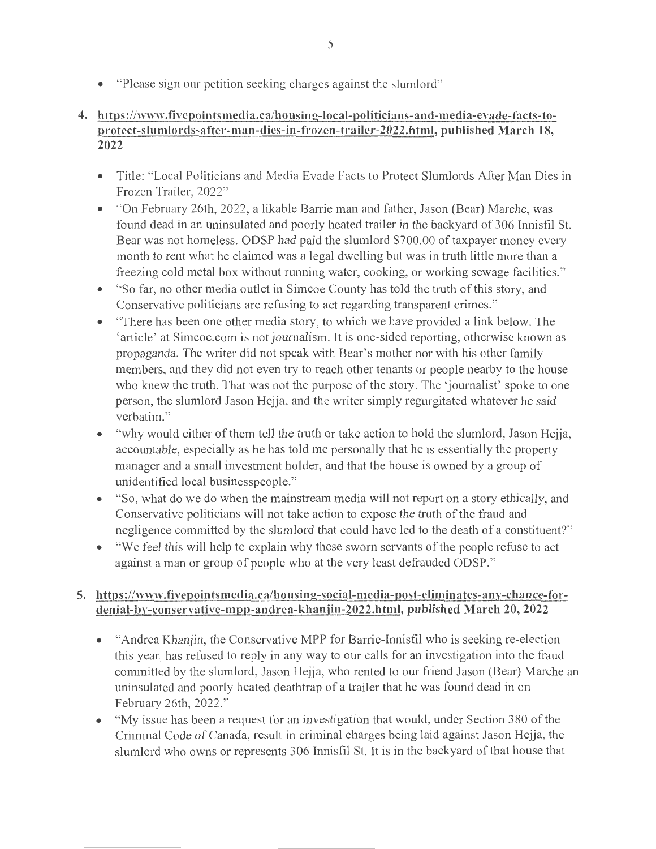• "Please sign our petition seeking charges against the slumlord"

# **4. https://www.fivepointsmedia.ca/housing-local-politicians-and-media-evade-facts-toprotect-slumlords-after-man-dies-in-frozen-trailer-2022.html, published March 18, 2022**

- Title: "Local Politicians and Media Evade Facts to Protect Slumlords After Man Dies in Frozen Trailer, 2022"
- "On February 26th, 2022, a likable Barrie man and father, Jason (Bear) Marche, was found dead in an uninsulated and poorly heated trailer in the backyard of 306 Innisfil St. Bear was not homeless. ODSP had paid the slumlord \$700.00 of taxpayer money every month to rent what he claimed was a legal dwelling but was in truth little more than a freezing cold metal box without running water, cooking, or working sewage facilities."
- "So far, no other media outlet in Simcoe County has told the truth of this story, and Conservative politicians are refusing to act regarding transparent crimes."
- "There has been one other media story, to which we have provided a link below. The 'article' at Simcoe.com is not journalism. It is one-sided reporting, otherwise known as propaganda. The writer did not speak with Bear's mother nor with his other family members, and they did not even try to reach other tenants or people nearby to the house who knew the truth. That was not the purpose of the story. The 'journalist' spoke to one person, the slumlord Jason Hejja, and the writer simply regurgitated whatever he said verbatim."
- "why would either of them tell the truth or take action to hold the slumlord, Jason Hejja, accountable, especially as he has told me personally that he is essentially the property manager and a small investment holder, and that the house is owned by a group of unidentified local businesspeople."
- "So, what do we do when the mainstream media will not report on a story ethically, and Conservative politicians will not take action to expose the truth of the fraud and negligence committed by the slumlord that could have led to the death of a constituent?"
- "We feel this will help to explain why these sworn servants of the people refuse to act against a man or group of people who at the very least defrauded ODSP."

# **5. https://www.fivepointsmedia.ca/housing-social-media-post-eliminates-any-chance-fordenial-bv-conservative-mpp-andrea-khanjin-2022.html, published March 20, 2022**

- "Andrea Khanjin, the Conservative MPP for Barrie-Innisfil who is seeking re-election this year, has refused to reply in any way to our calls for an investigation into the fraud committed by the slumlord, Jason Hejja, who rented to our friend Jason (Bear) Marche an uninsulated and poorly heated deathtrap of a trailer that he was found dead in on February 26th, 2022."
- "My issue has been a request for an investigation that would, under Section 380 of the Criminal Code of Canada, result in criminal charges being laid against Jason Hejja, the slumlord who owns or represents 306 Innisfil St. It is in the backyard of that house that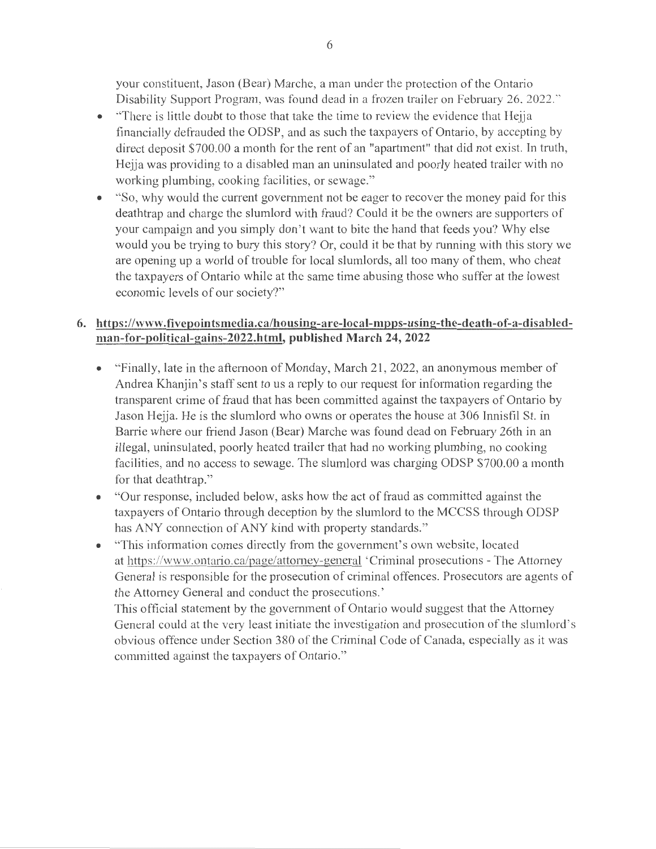your constituent, Jason (Bear) Marche, a man under the protection of the Ontario Disability Support Program, was found dead in a frozen trailer on February 26, 2022."

- "There is little doubt to those that take the time to review the evidence that Hejja financially defrauded the ODSP, and as such the taxpayers of Ontario, by accepting by direct deposit \$700.00 a month for the rent of an "apartment" that did not exist. In truth, Hejja was providing to a disabled man an uninsulated and poorly heated trailer with no working plumbing, cooking facilities, or sewage."
- "So, why would the current government not be eager to recover the money paid for this deathtrap and charge the slumlord with fraud? Could it be the owners are supporters of your campaign and you simply don't want to bite the hand that feeds you? Why else would you be trying to bury this story? Or, could it be that by running with this story we are opening up a world of trouble for local slumlords, all too many of them, who cheat the taxpayers of Ontario while at the same time abusing those who suffer at the lowest economic levels of our society?"

#### **6. https://www.fivepointsmedia.ca/housing-are-local-mpps-using-the-death-of-a-disabledman-for-political-gains-2022.html, published March 24, 2022**

- "Finally, late in the afternoon of Monday, March 21, 2022, an anonymous member of Andrea Khanjin's staff sent to us a reply to our request for information regarding the transparent crime of fraud that has been committed against the taxpayers of Ontario by Jason Hejja. He is the slumlord who owns or operates the house at 306 Innisfil St. in Barrie where our friend Jason (Bear) Marche was found dead on February 26th in an illegal, uninsulated, poorly heated trailer that had no working plumbing, no cooking facilities, and no access to sewage. The slumlord was charging ODSP \$700.00 a month for that deathtrap."
- "Our response, included below, asks how the act of fraud as committed against the taxpayers of Ontario through deception by the slumlord to the MCCSS through ODSP has ANY connection of ANY kind with property standards."
- "This information comes directly from the government's own website, located at https://www.ontario.ca/page/attorney-general 'Criminal prosecutions - The Attorney General is responsible for the prosecution of criminal offences. Prosecutors are agents of the Attorney General and conduct the prosecutions.'

This official statement by the government of Ontario would suggest that the Attorney General could at the very least initiate the investigation and prosecution of the slumlord's obvious offence under Section 380 of the Criminal Code of Canada, especially as it was committed against the taxpayers of Ontario."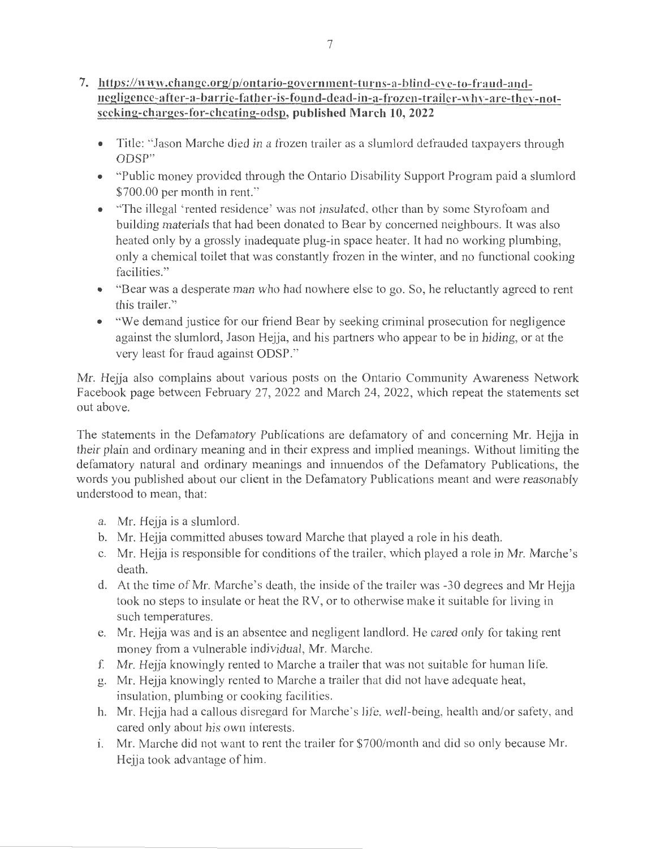### **7. https://www.change.org/p/ontario-government-turns-a-bJind-eve-to-fraud-andnegligence-after-a-barrie-father-is-found-dead-in-a-frozen-trailer-why-are-thev-notseeking-charges-for-cheating-odsp, published March 10, 2022**

- Title: "Jason Marche died in a frozen trailer as a slumlord defrauded taxpayers through ODSP"
- "Public money provided through the Ontario Disability Support Program paid a slumlord \$700.00 per month in rent."
- "The illegal 'rented residence' was not insulated, other than by some Styrofoam and building materials that had been donated to Bear by concerned neighbours. It was also heated only by a grossly inadequate plug-in space heater. It had no working plumbing, only a chemical toilet that was constantly frozen in the winter, and no functional cooking facilities."
- "Bear was a desperate man who had nowhere else to go. So, he reluctantly agreed to rent this trailer."
- "We demand justice for our friend Bear by seeking criminal prosecution for negligence against the slumlord, Jason Hejja, and his partners who appear to be in hiding, or at the very least for fraud against ODSP."

Mr. Hejja also complains about various posts on the Ontario Community Awareness Network Facebook page between February 27, 2022 and March 24, 2022, which repeat the statements set out above.

The statements in the Defamatory Publications are defamatory of and concerning Mr. Hejja in their plain and ordinary meaning and in their express and implied meanings. Without limiting the defamatory natural and ordinary meanings and innuendos of the Defamatory Publications, the words you published about our client in the Defamatory Publications meant and were reasonably understood to mean, that:

- a. Mr. Hejja is a slumlord.
- b. Mr. Hejja committed abuses toward Marche that played a role in his death.
- c. Mr. Hejja is responsible for conditions of the trailer, which played a role in Mr. Marche's death.
- d. At the time of Mr. Marche's death, the inside of the trailer was -30 degrees and Mr Hejja took no steps to insulate or heat the RV, or to otherwise make it suitable for living in such temperatures.
- e. Mr. Hejja was and is an absentee and negligent landlord. He cared only for taking rent money from a vulnerable individual, Mr. Marche.
- f. Mr. Hejja knowingly rented to Marche a trailer that was not suitable for human life.
- g. Mr. Hejja knowingly rented to Marche a trailer that did not have adequate heat, insulation, plumbing or cooking facilities.
- h. Mr. Hejja had a callous disregard for Marche's life, well-being, health and/or safety, and cared only about his own interests.
- 1. Mr. Marche did not want to rent the trailer for \$700/month and did so only because Mr. Hejja took advantage of him.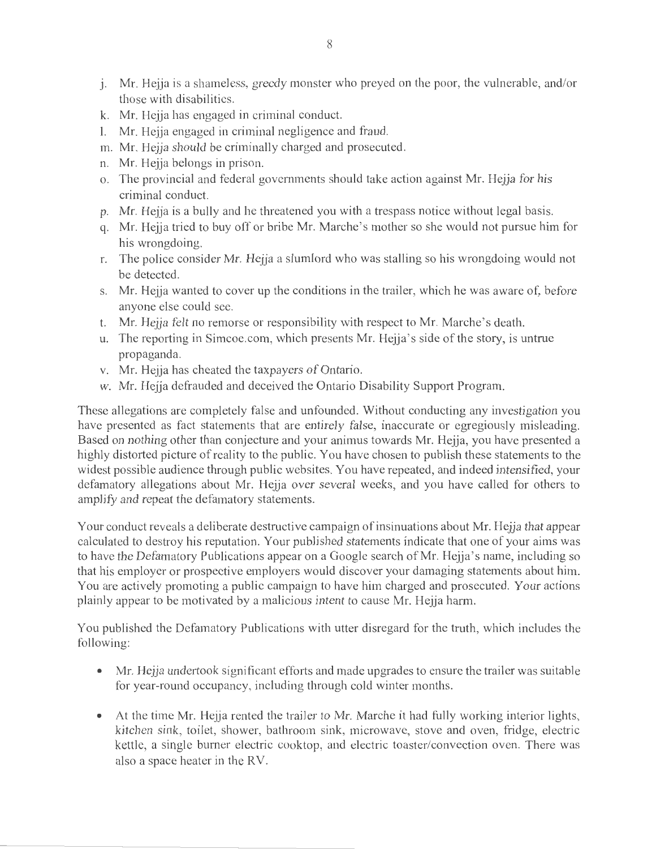- j. Mr. Hejja is a shameless, greedy monster who preyed on the poor, the vulnerable, and/or those with disabilities.
- k. Mr. Hejja has engaged in criminal conduct.
- 1. Mr. Hejja engaged in criminal negligence and fraud.
- m. Mr. Hejja should be criminally charged and prosecuted.
- n. Mr. Hejja belongs in prison.
- o. The provincial and federal governments should take action against Mr. Hejja for his criminal conduct.
- p. Mr. Hejja is a bully and he threatened you with a trespass notice without legal basis.
- q. Mr. Hejja tried to buy off or bribe Mr. Marche's mother so she would not pursue him for his wrongdoing.
- r. The police consider Mr. Hejja a slumlord who was stalling so his wrongdoing would not be detected.
- s. Mr. Hejja wanted to cover up the conditions in the trailer, which he was aware of, before anyone else could see.
- t. Mr. Hejja felt no remorse or responsibility with respect to Mr. Marche's death.
- u. The reporting in Simcoe.com, which presents Mr. Hejja's side of the story, is untrue propaganda.
- v. Mr. Hejja has cheated the taxpayers of Ontario.
- w. Mr. Hejja defrauded and deceived the Ontario Disability Support Program.

These allegations are completely false and unfounded. Without conducting any investigation you have presented as fact statements that are entirely false, inaccurate or egregiously misleading. Based on nothing other than conjecture and your animus towards Mr. Hejja, you have presented a highly distorted picture of reality to the public. You have chosen to publish these statements to the widest possible audience through public websites. You have repeated, and indeed intensified, your defamatory allegations about Mr. Hejja over several weeks, and you have called for others to amplify and repeat the defamatory statements.

Your conduct reveals a deliberate destructive campaign of insinuations about Mr. Hejja that appear calculated to destroy his reputation. Your published statements indicate that one of your aims was to have the Defamatory Publications appear on a Google search of Mr. Hejja's name, including so that his employer or prospective employers would discover your damaging statements about him. You are actively promoting a public campaign to have him charged and prosecuted. Your actions plainly appear to be motivated by a malicious intent to cause Mr. Hejja harm.

You published the Defamatory Publications with utter disregard for the truth, which includes the following:

- Mr. Hejja undertook significant efforts and made upgrades to ensure the trailer was suitable for year-round occupancy, including through cold winter months.
- At the time Mr. Hejja rented the trailer to Mr. Marche it had fully working interior lights, kitchen sink, toilet, shower, bathroom sink, microwave, stove and oven, fridge, electric kettle, a single burner electric cooktop, and electric toaster/convection oven. There was also a space heater in the RV.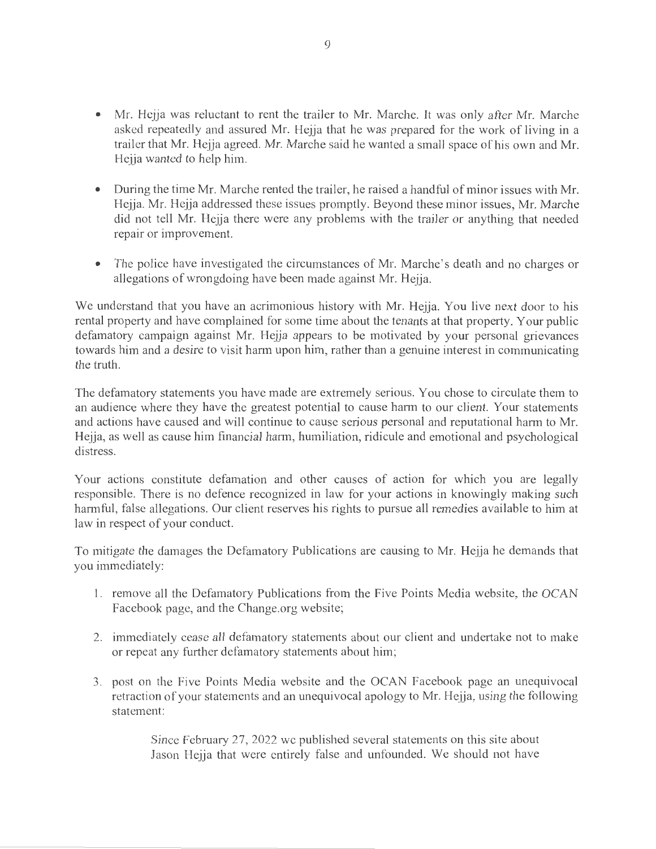- Mr. Hejja was reluctant to rent the trailer to Mr. Marche. It was only after Mr. Marche asked repeatedly and assured Mr. Hejja that he was prepared for the work of living in a trailer that Mr. Hejja agreed. Mr. Marche said he wanted a small space of his own and Mr. Hejja wanted to help him.
- During the time Mr. Marche rented the trailer, he raised a handful of minor issues with Mr. Hejja. Mr. Hejja addressed these issues promptly. Beyond these minor issues, Mr. Marche did not tell Mr. Hejja there were any problems with the trailer or anything that needed repair or improvement.
- The police have investigated the circumstances of Mr. Marche's death and no charges or allegations of wrongdoing have been made against Mr. Hejja.

We understand that you have an acrimonious history with Mr. Hejja. You live next door to his rental property and have complained for some time about the tenants at that property. Your public defamatory campaign against Mr. Hejja appears to be motivated by your personal grievances towards him and a desire to visit harm upon him, rather than a genuine interest in communicating the truth.

The defamatory statements you have made are extremely serious. You chose to circulate them to an audience where they have the greatest potential to cause harm to our client. Your statements and actions have caused and will continue to cause serious personal and reputational harm to Mr. Hejja, as well as cause him financial harm, humiliation, ridicule and emotional and psychological distress.

Your actions constitute defamation and other causes of action for which you are legally responsible. There is no defence recognized in law for your actions in knowingly making such harmful, false allegations. Our client reserves his rights to pursue all remedies available to him at law in respect of your conduct.

To mitigate the damages the Defamatory Publications are causing to Mr. Hejja he demands that you immediately:

- 1. remove all the Defamatory Publications from the Five Points Media website, the OCAN Facebook page, and the Change.org website;
- 2. immediately cease all defamatory statements about our client and undertake not to make or repeat any further defamatory statements about him;
- 3. post on the Five Points Media website and the OCAN Facebook page an unequivocal retraction of your statements and an unequivocal apology to Mr. Hejja, using the following statement:

Since February 27, 2022 we published several statements on this site about Jason Hejja that were entirely false and unfounded. We should not have